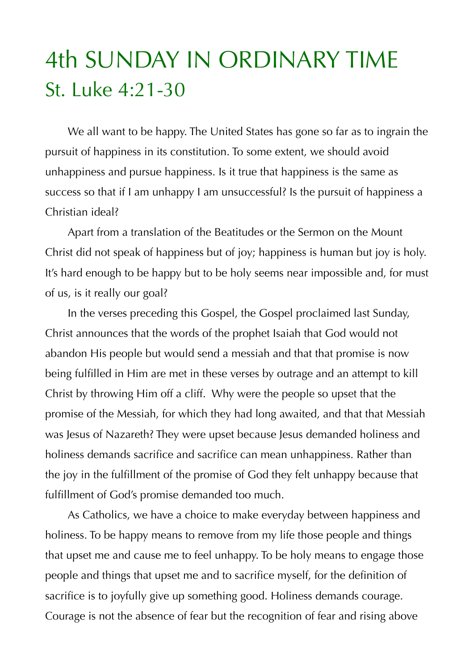## 4th SUNDAY IN ORDINARY TIME St. Luke 4:21-30

 We all want to be happy. The United States has gone so far as to ingrain the pursuit of happiness in its constitution. To some extent, we should avoid unhappiness and pursue happiness. Is it true that happiness is the same as success so that if I am unhappy I am unsuccessful? Is the pursuit of happiness a Christian ideal?

 Apart from a translation of the Beatitudes or the Sermon on the Mount Christ did not speak of happiness but of joy; happiness is human but joy is holy. It's hard enough to be happy but to be holy seems near impossible and, for must of us, is it really our goal?

 In the verses preceding this Gospel, the Gospel proclaimed last Sunday, Christ announces that the words of the prophet Isaiah that God would not abandon His people but would send a messiah and that that promise is now being fulfilled in Him are met in these verses by outrage and an attempt to kill Christ by throwing Him off a cliff. Why were the people so upset that the promise of the Messiah, for which they had long awaited, and that that Messiah was Jesus of Nazareth? They were upset because Jesus demanded holiness and holiness demands sacrifice and sacrifice can mean unhappiness. Rather than the joy in the fulfillment of the promise of God they felt unhappy because that fulfillment of God's promise demanded too much.

 As Catholics, we have a choice to make everyday between happiness and holiness. To be happy means to remove from my life those people and things that upset me and cause me to feel unhappy. To be holy means to engage those people and things that upset me and to sacrifice myself, for the definition of sacrifice is to joyfully give up something good. Holiness demands courage. Courage is not the absence of fear but the recognition of fear and rising above